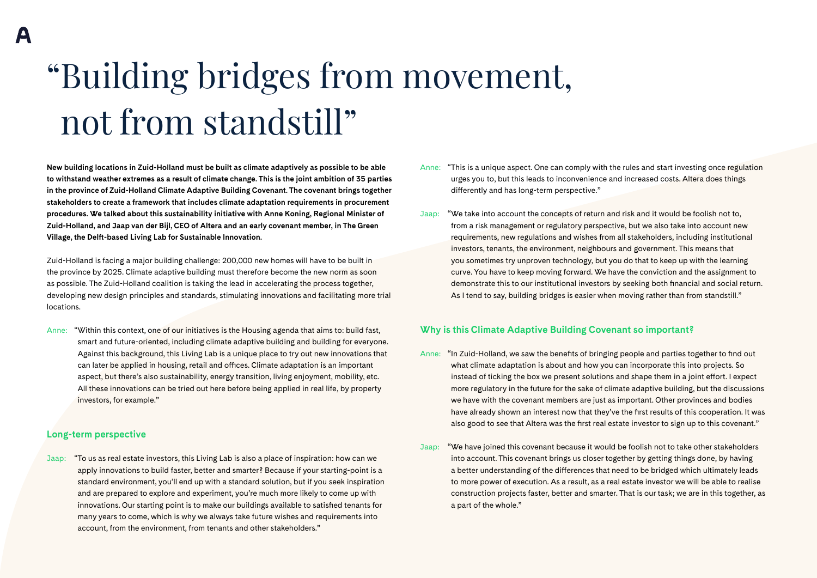# "Building bridges from movement, not from standstill"

**New building locations in Zuid-Holland must be built as climate adaptively as possible to be able to withstand weather extremes as a result of climate change. This is the joint ambition of 35 parties in the province of Zuid-Holland Climate Adaptive Building Covenant. The covenant brings together stakeholders to create a framework that includes climate adaptation requirements in procurement procedures. We talked about this sustainability initiative with Anne Koning, Regional Minister of Zuid-Holland, and Jaap van der Bijl, CEO of Altera and an early covenant member, in The Green Village, the Delft-based Living Lab for Sustainable Innovation.** 

Zuid-Holland is facing a major building challenge: 200,000 new homes will have to be built in the province by 2025. Climate adaptive building must therefore become the new norm as soon as possible. The Zuid-Holland coalition is taking the lead in accelerating the process together, developing new design principles and standards, stimulating innovations and facilitating more trial locations.

Anne: "Within this context, one of our initiatives is the Housing agenda that aims to: build fast, smart and future-oriented, including climate adaptive building and building for everyone. Against this background, this Living Lab is a unique place to try out new innovations that can later be applied in housing, retail and offices. Climate adaptation is an important aspect, but there's also sustainability, energy transition, living enjoyment, mobility, etc. All these innovations can be tried out here before being applied in real life, by property investors, for example."

#### **Long-term perspective**

Jaap: "To us as real estate investors, this Living Lab is also a place of inspiration: how can we apply innovations to build faster, better and smarter? Because if your starting-point is a standard environment, you'll end up with a standard solution, but if you seek inspiration and are prepared to explore and experiment, you're much more likely to come up with innovations. Our starting point is to make our buildings available to satisfied tenants for many years to come, which is why we always take future wishes and requirements into account, from the environment, from tenants and other stakeholders."

- Anne: "This is a unique aspect. One can comply with the rules and start investing once regulation urges you to, but this leads to inconvenience and increased costs. Altera does things differently and has long-term perspective."
- Jaap: "We take into account the concepts of return and risk and it would be foolish not to, from a risk management or regulatory perspective, but we also take into account new requirements, new regulations and wishes from all stakeholders, including institutional investors, tenants, the environment, neighbours and government. This means that you sometimes try unproven technology, but you do that to keep up with the learning curve. You have to keep moving forward. We have the conviction and the assignment to demonstrate this to our institutional investors by seeking both financial and social return. As I tend to say, building bridges is easier when moving rather than from standstill."

#### **Why is this Climate Adaptive Building Covenant so important?**

- Anne: "In Zuid-Holland, we saw the benefits of bringing people and parties together to find out what climate adaptation is about and how you can incorporate this into projects. So instead of ticking the box we present solutions and shape them in a joint effort. I expect more regulatory in the future for the sake of climate adaptive building, but the discussions we have with the covenant members are just as important. Other provinces and bodies have already shown an interest now that they've the first results of this cooperation. It was also good to see that Altera was the first real estate investor to sign up to this covenant."
- Jaap: "We have joined this covenant because it would be foolish not to take other stakeholders into account. This covenant brings us closer together by getting things done, by having a better understanding of the differences that need to be bridged which ultimately leads to more power of execution. As a result, as a real estate investor we will be able to realise construction projects faster, better and smarter. That is our task; we are in this together, as a part of the whole."